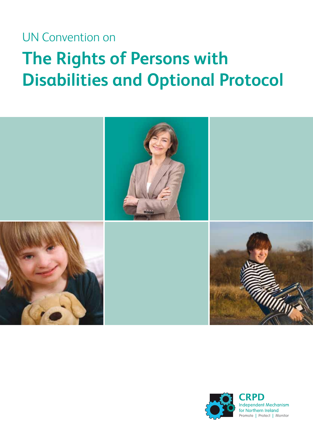## UN Convention on **The Rights of Persons with Disabilities and Optional Protocol**



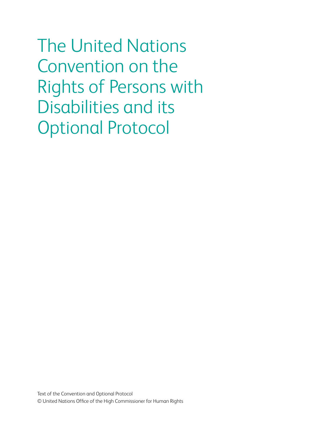The United Nations Convention on the Rights of Persons with Disabilities and its Optional Protocol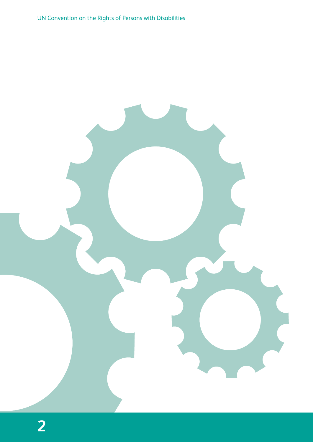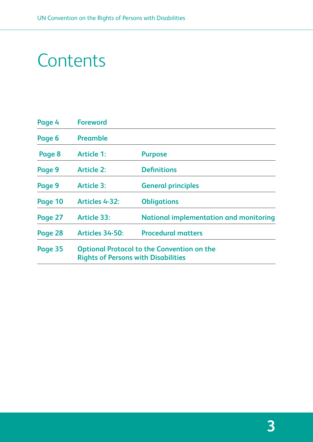# **Contents**

| Page 4  | <b>Foreword</b>                                                                                 |                                        |
|---------|-------------------------------------------------------------------------------------------------|----------------------------------------|
| Page 6  | <b>Preamble</b>                                                                                 |                                        |
| Page 8  | <b>Article 1:</b>                                                                               | <b>Purpose</b>                         |
| Page 9  | <b>Article 2:</b>                                                                               | <b>Definitions</b>                     |
| Page 9  | <b>Article 3:</b>                                                                               | <b>General principles</b>              |
| Page 10 | <b>Articles 4-32:</b>                                                                           | <b>Obligations</b>                     |
| Page 27 | <b>Article 33:</b>                                                                              | National implementation and monitoring |
| Page 28 | Articles 34-50:                                                                                 | <b>Procedural matters</b>              |
| Page 35 | <b>Optional Protocol to the Convention on the</b><br><b>Rights of Persons with Disabilities</b> |                                        |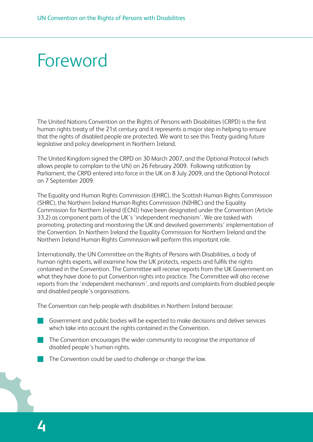## Foreword

The United Nations Convention on the Rights of Persons with Disabilities (CRPD) is the first human rights treaty of the 21st century and it represents a major step in helping to ensure that the rights of disabled people are protected. We want to see this Treaty guiding future legislative and policy development in Northern Ireland.

The United Kingdom signed the CRPD on 30 March 2007, and the Optional Protocol (which allows people to complain to the UN) on 26 February 2009. Following ratification by Parliament, the CRPD entered into force in the UK on 8 July 2009, and the Optional Protocol on 7 September 2009.

The Equality and Human Rights Commission (EHRC), the Scottish Human Rights Commission (SHRC), the Northern Ireland Human Rights Commission (NIHRC) and the Equality Commission for Northern Ireland (ECNI) have been designated under the Convention (Article 33.2) as component parts of the UK's 'independent mechanism'. We are tasked with promoting, protecting and monitoring the UK and devolved governments' implementation of the Convention. In Northern Ireland the Equality Commission for Northern Ireland and the Northern Ireland Human Rights Commission will perform this important role.

Internationally, the UN Committee on the Rights of Persons with Disabilities, a body of human rights experts, will examine how the UK protects, respects and fulfils the rights contained in the Convention. The Committee will receive reports from the UK Government on what they have done to put Convention rights into practice. The Committee will also receive reports from the 'independent mechanism', and reports and complaints from disabled people and disabled people's organisations.

The Convention can help people with disabilities in Northern Ireland because:

- OO Government and public bodies will be expected to make decisions and deliver services which take into account the rights contained in the Convention.
- The Convention encourages the wider community to recognise the importance of disabled people's human rights.
- The Convention could be used to challenge or change the law.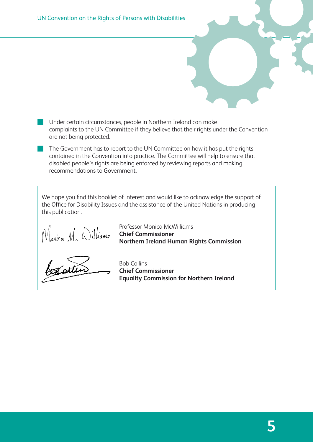- Oordon Under certain circumstances, people in Northern Ireland can make complaints to the UN Committee if they believe that their rights under the Convention are not being protected.
- O The Government has to report to the UN Committee on how it has put the rights contained in the Convention into practice. The Committee will help to ensure that disabled people's rights are being enforced by reviewing reports and making recommendations to Government.

We hope you find this booklet of interest and would like to acknowledge the support of the Office for Disability Issues and the assistance of the United Nations in producing this publication.

Nonica Mc Williams

Professor Monica McWilliams **Chief Commissioner Northern Ireland Human Rights Commission** 

Bob Collins **Chief Commissioner Equality Commission for Northern Ireland**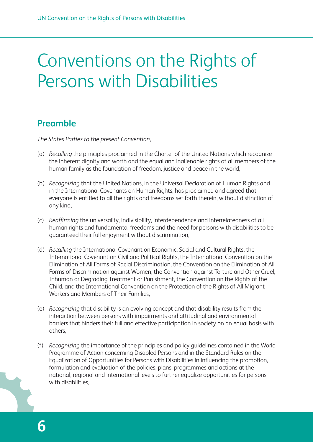## Conventions on the Rights of Persons with Disabilities

### **Preamble**

*The States Parties to the present Convention,* 

- (a) *Recalling* the principles proclaimed in the Charter of the United Nations which recognize the inherent dignity and worth and the equal and inalienable rights of all members of the human family as the foundation of freedom, justice and peace in the world,
- (b) *Recognizing* that the United Nations, in the Universal Declaration of Human Rights and in the International Covenants on Human Rights, has proclaimed and agreed that everyone is entitled to all the rights and freedoms set forth therein, without distinction of any kind,
- (c) *Reaffirming* the universality, indivisibility, interdependence and interrelatedness of all human rights and fundamental freedoms and the need for persons with disabilities to be guaranteed their full enjoyment without discrimination,
- (d) *Recalling* the International Covenant on Economic, Social and Cultural Rights, the International Covenant on Civil and Political Rights, the International Convention on the Elimination of All Forms of Racial Discrimination, the Convention on the Elimination of All Forms of Discrimination against Women, the Convention against Torture and Other Cruel, Inhuman or Degrading Treatment or Punishment, the Convention on the Rights of the Child, and the International Convention on the Protection of the Rights of All Migrant Workers and Members of Their Families,
- (e) *Recognizing* that disability is an evolving concept and that disability results from the interaction between persons with impairments and attitudinal and environmental barriers that hinders their full and effective participation in society on an equal basis with others,
- (f) *Recognizing* the importance of the principles and policy guidelines contained in the World Programme of Action concerning Disabled Persons and in the Standard Rules on the Equalization of Opportunities for Persons with Disabilities in influencing the promotion, formulation and evaluation of the policies, plans, programmes and actions at the national, regional and international levels to further equalize opportunities for persons with disabilities,

**6**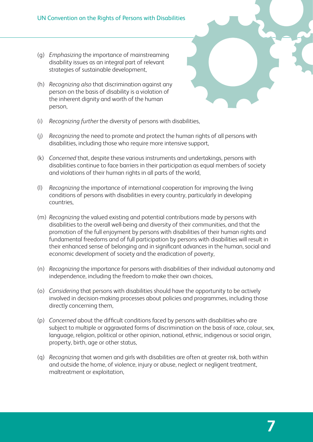#### UN Convention on the Rights of Persons with Disabilities

- (g) *Emphasizing* the importance of mainstreaming disability issues as an integral part of relevant strategies of sustainable development,
- (h) *Recognizing also* that discrimination against any person on the basis of disability is a violation of the inherent dignity and worth of the human person,
- (i) *Recognizing further* the diversity of persons with disabilities,
- (j) *Recognizing* the need to promote and protect the human rights of all persons with disabilities, including those who require more intensive support,
- (k) *Concerned* that, despite these various instruments and undertakings, persons with disabilities continue to face barriers in their participation as equal members of society and violations of their human rights in all parts of the world,
- (l) *Recognizing* the importance of international cooperation for improving the living conditions of persons with disabilities in every country, particularly in developing countries,
- (m) *Recognizing* the valued existing and potential contributions made by persons with disabilities to the overall well-being and diversity of their communities, and that the promotion of the full enjoyment by persons with disabilities of their human rights and fundamental freedoms and of full participation by persons with disabilities will result in their enhanced sense of belonging and in significant advances in the human, social and economic development of society and the eradication of poverty,
- (n) *Recognizing* the importance for persons with disabilities of their individual autonomy and independence, including the freedom to make their own choices,
- (o) *Considering* that persons with disabilities should have the opportunity to be actively involved in decision-making processes about policies and programmes, including those directly concerning them,
- (p) *Concerned* about the difficult conditions faced by persons with disabilities who are subject to multiple or aggravated forms of discrimination on the basis of race, colour, sex, language, religion, political or other opinion, national, ethnic, indigenous or social origin, property, birth, age or other status,
- (q) *Recognizing* that women and girls with disabilities are often at greater risk, both within and outside the home, of violence, injury or abuse, neglect or negligent treatment, maltreatment or exploitation,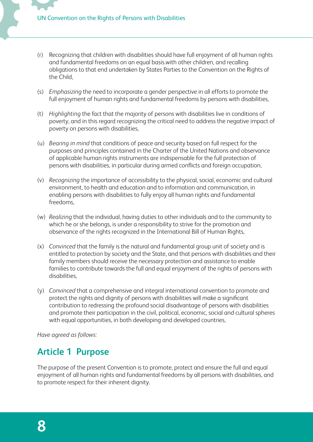- (r) Recognizing that children with disabilities should have full enjoyment of all human rights and fundamental freedoms on an equal basis.with other children, and recalling obligations to that end undertaken by States Parties to the Convention on the Rights of the Child,
- (s) *Emphasizing* the need to incorporate a gender perspective in all efforts to promote the full enjoyment of human rights and fundamental freedoms by persons with disabilities,
- (t) *Highlighting* the fact that the majority of persons with disabilities live in conditions of poverty, and in this regard recognizing the critical need to address the negative impact of poverty on persons with disabilities,
- (u) *Bearing in mind* that conditions of peace and security based on full respect for the purposes and principles contained in the Charter of the United Nations and observance of applicable human rights instruments are indispensable for the full protection of persons with disabilities, in particular during armed conflicts and foreign occupation,
- (v) *Recognizing* the importance of accessibility to the physical, social, economic and cultural environment, to health and education and to information and communication, in enabling persons with disabilities to fully enjoy all human rights and fundamental freedoms,
- (w) *Realizing* that the individual, having duties to other individuals and to the community to which he or she belongs, is under a responsibility to strive for the promotion and observance of the rights recognized in the International Bill of Human Rights,
- (x) *Convinced* that the family is the natural and fundamental group unit of society and is entitled to protection by society and the State, and that persons with disabilities and their family members should receive the necessary protection and assistance to enable families to contribute towards the full and equal enjoyment of the rights of persons with disabilities,
- (y) *Convinced* that a comprehensive and integral international convention to promote and protect the rights and dignity of persons with disabilities will make a significant contribution to redressing the profound social disadvantage of persons with disabilities and promote their participation in the civil, political, economic, social and cultural spheres with equal opportunities, in both developing and developed countries,

*Have agreed as follows:* 

## **Article 1 Purpose**

The purpose of the present Convention is to promote, protect and ensure the full and equal enjoyment of all human rights and fundamental freedoms by all persons with disabilities, and to promote respect for their inherent dignity.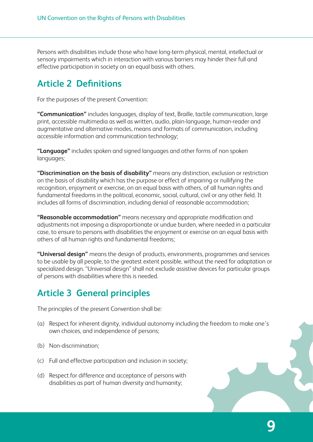Persons with disabilities include those who have long-term physical, mental, intellectual or sensory impairments which in interaction with various barriers may hinder their full and effective participation in society on an equal basis with others.

## **Article 2 Definitions**

For the purposes of the present Convention:

**"Communication"** includes languages, display of text, Braille, tactile communication, large print, accessible multimedia as well as written, audio, plain-language, human-reader and augmentative and alternative modes, means and formats of communication, including accessible information and communication technology;

**"Language"** includes spoken and signed languages and other forms of non spoken languages;

**"Discrimination on the basis of disability"** means any distinction, exclusion or restriction on the basis of disability which has the purpose or effect of impairing or nullifying the recognition, enjoyment or exercise, on an equal basis with others, of all human rights and fundamental freedoms in the political, economic, social, cultural, civil or any other field. It includes all forms of discrimination, including denial of reasonable accommodation;

**"Reasonable accommodation"** means necessary and appropriate modification and adjustments not imposing a disproportionate or undue burden, where needed in a particular case, to ensure to persons with disabilities the enjoyment or exercise on an equal basis with others of all human rights and fundamental freedoms;

**"Universal design"** means the design of products, environments, programmes and services to be usable by all people, to the greatest extent possible, without the need for adaptation or specialized design. "Universal design" shall not exclude assistive devices for particular groups of persons with disabilities where this is needed.

## **Article 3 General principles**

The principles of the present Convention shall be:

(a) Respect for inherent dignity, individual autonomy including the freedom to make one's own choices, and independence of persons;

**9**

- (b) Non-discrimination;
- (c) Full and effective participation and inclusion in society;
- (d) Respect for difference and acceptance of persons with disabilities as part of human diversity and humanity;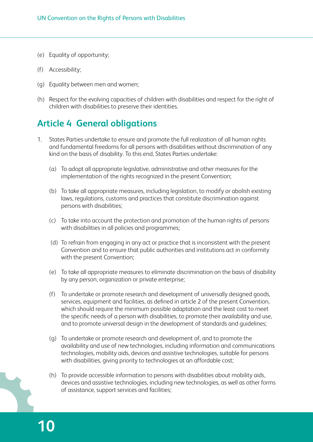- (e) Equality of opportunity;
- (f) Accessibility;
- (g) Equality between men and women;
- (h) Respect for the evolving capacities of children with disabilities and respect for the right of children with disabilities to preserve their identities.

#### **Article 4 General obligations**

- 1. States Parties undertake to ensure and promote the full realization of all human rights and fundamental freedoms for all persons with disabilities without discrimination of any kind on the basis of disability. To this end, States Parties undertake:
	- (a) To adopt all appropriate legislative, administrative and other measures for the implementation of the rights recognized in the present Convention;
	- (b) To take all appropriate measures, including legislation, to modify or abolish existing laws, regulations, customs and practices that constitute discrimination against persons with disabilities;
	- (c) To take into account the protection and promotion of the human rights of persons with disabilities in all policies and programmes;
	- (d) To refrain from engaging in any act or practice that is inconsistent with the present Convention and to ensure that public authorities and institutions act in conformity with the present Convention;
	- (e) To take all appropriate measures to eliminate discrimination on the basis of disability by any person, organization or private enterprise;
	- (f) To undertake or promote research and development of universally designed goods, services, equipment and facilities, as defined in article 2 of the present Convention, which should require the minimum possible adaptation and the least cost to meet the specific needs of a person with disabilities, to promote their availability and use, and to promote universal design in the development of standards and guidelines;
	- (g) To undertake or promote research and development of, and to promote the availability and use of new technologies, including information and communications technologies, mobility aids, devices and assistive technologies, suitable for persons with disabilities, giving priority to technologies at an affordable cost;
	- (h) To provide accessible information to persons with disabilities about mobility aids, devices and assistive technologies, including new technologies, as well as other forms of assistance, support services and facilities;

**10**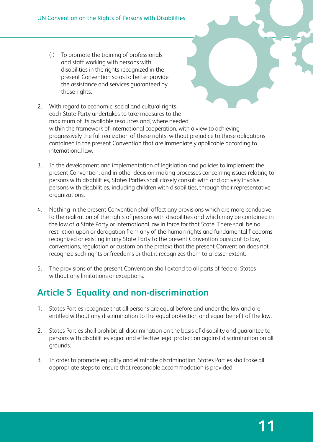- (i) To promote the training of professionals and staff working with persons with disabilities in the rights recognized in the present Convention so as to better provide the assistance and services guaranteed by those rights.
- 2. With regard to economic, social and cultural rights, each State Party undertakes to take measures to the maximum of its available resources and, where needed, within the framework of international cooperation, with a view to achieving progressively the full realization of these rights, without prejudice to those obligations contained in the present Convention that are immediately applicable according to international law.
- 3. In the development and implementation of legislation and policies to implement the present Convention, and in other decision-making processes concerning issues relating to persons with disabilities, States Parties shall closely consult with and actively involve persons with disabilities, including children with disabilities, through their representative organizations.
- 4. Nothing in the present Convention shall affect any provisions which are more conducive to the realization of the rights of persons with disabilities and which may be contained in the law of a State Party or international law in force for that State. There shall be no restriction upon or derogation from any of the human rights and fundamental freedoms recognized or existing in any State Party to the present Convention pursuant to law, conventions, regulation or custom on the pretext that the present Convention does not recognize such rights or freedoms or that it recognizes them to a lesser extent.
- 5. The provisions of the present Convention shall extend to all parts of federal States without any limitations or exceptions.

## **Article 5 Equality and non-discrimination**

- 1. States Parties recognize that all persons are equal before and under the law and are entitled without any discrimination to the equal protection and equal benefit of the law.
- 2. States Parties shall prohibit all discrimination on the basis of disability and guarantee to persons with disabilities equal and effective legal protection against discrimination on all grounds.
- 3. In order to promote equality and eliminate discrimination, States Parties shall take all appropriate steps to ensure that reasonable accommodation is provided.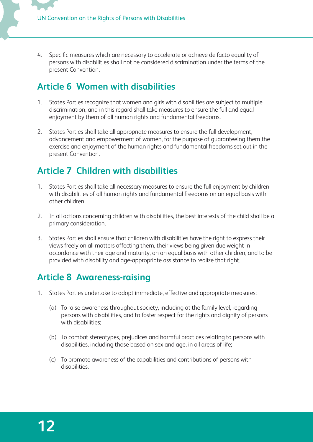4. Specific measures which are necessary to accelerate or achieve de facto equality of persons with disabilities shall not be considered discrimination under the terms of the present Convention.

## **Article 6 Women with disabilities**

- 1. States Parties recognize that women and girls with disabilities are subject to multiple discrimination, and in this regard shall take measures to ensure the full and equal enjoyment by them of all human rights and fundamental freedoms.
- 2. States Parties shall take all appropriate measures to ensure the full development, advancement and empowerment of women, for the purpose of guaranteeing them the exercise and enjoyment of the human rights and fundamental freedoms set out in the present Convention.

## **Article 7 Children with disabilities**

- 1. States Parties shall take all necessary measures to ensure the full enjoyment by children with disabilities of all human rights and fundamental freedoms on an equal basis with other children.
- 2. In all actions concerning children with disabilities, the best interests of the child shall be a primary consideration.
- 3. States Parties shall ensure that children with disabilities have the right to express their views freely on all matters affecting them, their views being given due weight in accordance with their age and maturity, on an equal basis with other children, and to be provided with disability and age-appropriate assistance to realize that right.

## **Article 8 Awareness-raising**

- 1. States Parties undertake to adopt immediate, effective and appropriate measures:
	- (a) To raise awareness throughout society, including at the family level, regarding persons with disabilities, and to foster respect for the rights and dignity of persons with disabilities;
	- (b) To combat stereotypes, prejudices and harmful practices relating to persons with disabilities, including those based on sex and age, in all areas of life;
	- (c) To promote awareness of the capabilities and contributions of persons with disabilities.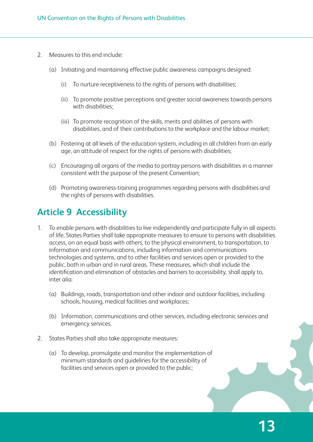- 2. Measures to this end include:
	- (a) Initiating and maintaining effective public awareness campaigns designed:
		- (i) To nurture receptiveness to the rights of persons with disabilities;
		- (ii) To promote positive perceptions and greater social awareness towards persons with disabilities;
		- (iii) To promote recognition of the skills, merits and abilities of persons with disabilities, and of their contributions to the workplace and the labour market;
	- (b) Fostering at all levels of the education system, including in all children from an early age, an attitude of respect for the rights of persons with disabilities;
	- (c) Encouraging all organs of the media to portray persons with disabilities in a manner consistent with the purpose of the present Convention;
	- (d) Promoting awareness-training programmes regarding persons with disabilities and the rights of persons with disabilities.

#### **Article 9 Accessibility**

- 1. To enable persons with disabilities to live independently and participate fully in all aspects of life, States Parties shall take appropriate measures to ensure to persons with disabilities access, on an equal basis with others, to the physical environment, to transportation, to information and communications, including information and communications technologies and systems, and to other facilities and services open or provided to the public, both in urban and in rural areas. These measures, which shall include the identification and elimination of obstacles and barriers to accessibility, shall apply to, inter alia:
	- (a) Buildings, roads, transportation and other indoor and outdoor facilities, including schools, housing, medical facilities and workplaces;
	- (b) Information, communications and other services, including electronic services and emergency services.
- 2. States Parties shall also take appropriate measures:
	- (a) To develop, promulgate and monitor the implementation of minimum standards and guidelines for the accessibility of facilities and services open or provided to the public;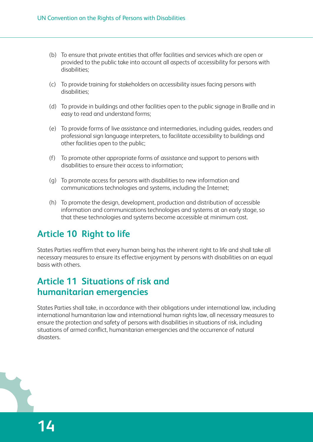- (b) To ensure that private entities that offer facilities and services which are open or provided to the public take into account all aspects of accessibility for persons with disabilities;
- (c) To provide training for stakeholders on accessibility issues facing persons with disabilities;
- (d) To provide in buildings and other facilities open to the public signage in Braille and in easy to read and understand forms;
- (e) To provide forms of live assistance and intermediaries, including guides, readers and professional sign language interpreters, to facilitate accessibility to buildings and other facilities open to the public;
- (f) To promote other appropriate forms of assistance and support to persons with disabilities to ensure their access to information;
- (g) To promote access for persons with disabilities to new information and communications technologies and systems, including the Internet;
- (h) To promote the design, development, production and distribution of accessible information and communications technologies and systems at an early stage, so that these technologies and systems become accessible at minimum cost.

## **Article 10 Right to life**

States Parties reaffirm that every human being has the inherent right to life and shall take all necessary measures to ensure its effective enjoyment by persons with disabilities on an equal basis with others.

#### **Article 11 Situations of risk and humanitarian emergencies**

States Parties shall take, in accordance with their obligations under international law, including international humanitarian law and international human rights law, all necessary measures to ensure the protection and safety of persons with disabilities in situations of risk, including situations of armed conflict, humanitarian emergencies and the occurrence of natural disasters.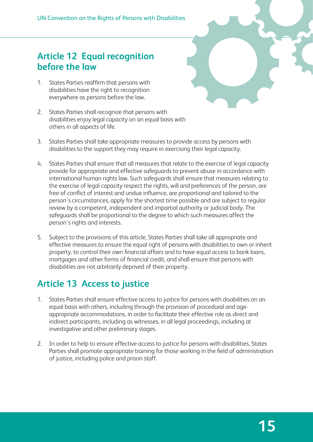## **Article 12 Equal recognition before the law**

- 1. States Parties reaffirm that persons with disabilities have the right to recognition everywhere as persons before the law.
- 2. States Parties shall recognize that persons with disabilities enjoy legal capacity on an equal basis with others in all aspects of life.
- 3. States Parties shall take appropriate measures to provide access by persons with disabilities to the support they may require in exercising their legal capacity.
- 4. States Parties shall ensure that all measures that relate to the exercise of legal capacity provide for appropriate and effective safeguards to prevent abuse in accordance with international human rights law. Such safeguards shall ensure that measures relating to the exercise of legal capacity respect the rights, will and preferences of the person, are free of conflict of interest and undue influence, are proportional and tailored to the person's circumstances, apply for the shortest time possible and are subject to regular review by a competent, independent and impartial authority or judicial body. The safeguards shall be proportional to the degree to which such measures affect the person's rights and interests.
- 5. Subject to the provisions of this article, States Parties shall take all appropriate and effective measures to ensure the equal right of persons with disabilities to own or inherit property, to control their own financial affairs and to have equal access to bank loans, mortgages and other forms of financial credit, and shall ensure that persons with disabilities are not arbitrarily deprived of their property.

## **Article 13 Access to justice**

- 1. States Parties shall ensure effective access to justice for persons with disabilities on an equal basis with others, including through the provision of procedural and ageappropriate accommodations, in order to facilitate their effective role as direct and indirect participants, including as witnesses, in all legal proceedings, including at investigative and other preliminary stages.
- 2. In order to help to ensure effective access to justice for persons with disabilities, States Parties shall promote appropriate training for those working in the field of administration of justice, including police and prison staff.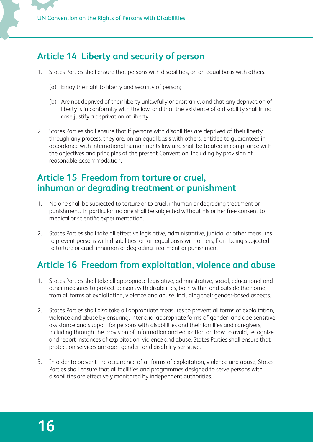

## **Article 14 Liberty and security of person**

- 1. States Parties shall ensure that persons with disabilities, on an equal basis with others:
	- (a) Enjoy the right to liberty and security of person;
	- (b) Are not deprived of their liberty unlawfully or arbitrarily, and that any deprivation of liberty is in conformity with the law, and that the existence of a disability shall in no case justify a deprivation of liberty.
- 2. States Parties shall ensure that if persons with disabilities are deprived of their liberty through any process, they are, on an equal basis with others, entitled to guarantees in accordance with international human rights law and shall be treated in compliance with the objectives and principles of the present Convention, including by provision of reasonable accommodation.

## **Article 15 Freedom from torture or cruel, inhuman or degrading treatment or punishment**

- 1. No one shall be subjected to torture or to cruel, inhuman or degrading treatment or punishment. In particular, no one shall be subjected without his or her free consent to medical or scientific experimentation.
- 2. States Parties shall take all effective legislative, administrative, judicial or other measures to prevent persons with disabilities, on an equal basis with others, from being subjected to torture or cruel, inhuman or degrading treatment or punishment.

## **Article 16 Freedom from exploitation, violence and abuse**

- 1. States Parties shall take all appropriate legislative, administrative, social, educational and other measures to protect persons with disabilities, both within and outside the home, from all forms of exploitation, violence and abuse, including their gender-based aspects.
- 2. States Parties shall also take all appropriate measures to prevent all forms of exploitation, violence and abuse by ensuring, inter alia, appropriate forms of gender- and age-sensitive assistance and support for persons with disabilities and their families and caregivers, including through the provision of information and education on how to avoid, recognize and report instances of exploitation, violence and abuse. States Parties shall ensure that protection services are age-, gender- and disability-sensitive.
- 3. In order to prevent the occurrence of all forms of exploitation, violence and abuse, States Parties shall ensure that all facilities and programmes designed to serve persons with disabilities are effectively monitored by independent authorities.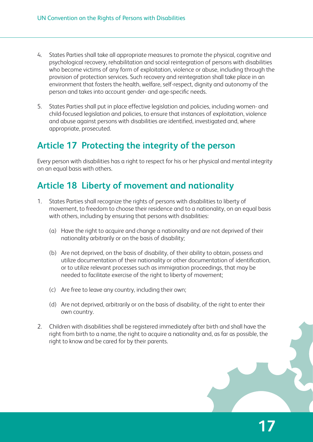- 4. States Parties shall take all appropriate measures to promote the physical, cognitive and psychological recovery, rehabilitation and social reintegration of persons with disabilities who become victims of any form of exploitation, violence or abuse, including through the provision of protection services. Such recovery and reintegration shall take place in an environment that fosters the health, welfare, self-respect, dignity and autonomy of the person and takes into account gender- and age-specific needs.
- 5. States Parties shall put in place effective legislation and policies, including women- and child-focused legislation and policies, to ensure that instances of exploitation, violence and abuse against persons with disabilities are identified, investigated and, where appropriate, prosecuted.

#### **Article 17 Protecting the integrity of the person**

Every person with disabilities has a right to respect for his or her physical and mental integrity on an equal basis with others.

## **Article 18 Liberty of movement and nationality**

- 1. States Parties shall recognize the rights of persons with disabilities to liberty of movement, to freedom to choose their residence and to a nationality, on an equal basis with others, including by ensuring that persons with disabilities:
	- (a) Have the right to acquire and change a nationality and are not deprived of their nationality arbitrarily or on the basis of disability;
	- (b) Are not deprived, on the basis of disability, of their ability to obtain, possess and utilize documentation of their nationality or other documentation of identification, or to utilize relevant processes such as immigration proceedings, that may be needed to facilitate exercise of the right to liberty of movement;
	- (c) Are free to leave any country, including their own;
	- (d) Are not deprived, arbitrarily or on the basis of disability, of the right to enter their own country.
- 2. Children with disabilities shall be registered immediately after birth and shall have the right from birth to a name, the right to acquire a nationality and, as far as possible, the right to know and be cared for by their parents.

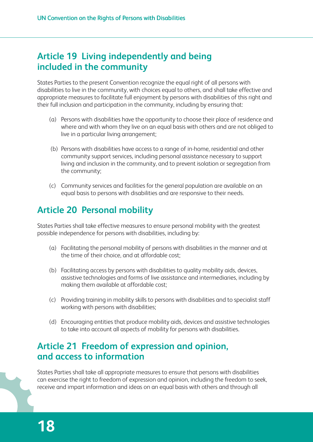## **Article 19 Living independently and being included in the community**

States Parties to the present Convention recognize the equal right of all persons with disabilities to live in the community, with choices equal to others, and shall take effective and appropriate measures to facilitate full enjoyment by persons with disabilities of this right and their full inclusion and participation in the community, including by ensuring that:

- (a) Persons with disabilities have the opportunity to choose their place of residence and where and with whom they live on an equal basis with others and are not obliged to live in a particular living arrangement;
- (b) Persons with disabilities have access to a range of in-home, residential and other community support services, including personal assistance necessary to support living and inclusion in the community, and to prevent isolation or segregation from the community;
- (c) Community services and facilities for the general population are available on an equal basis to persons with disabilities and are responsive to their needs.

## **Article 20 Personal mobility**

States Parties shall take effective measures to ensure personal mobility with the greatest possible independence for persons with disabilities, including by:

- (a) Facilitating the personal mobility of persons with disabilities in the manner and at the time of their choice, and at affordable cost;
- (b) Facilitating access by persons with disabilities to quality mobility aids, devices, assistive technologies and forms of live assistance and intermediaries, including by making them available at affordable cost;
- (c) Providing training in mobility skills to persons with disabilities and to specialist staff working with persons with disabilities;
- (d) Encouraging entities that produce mobility aids, devices and assistive technologies to take into account all aspects of mobility for persons with disabilities.

### **Article 21 Freedom of expression and opinion, and access to information**

States Parties shall take all appropriate measures to ensure that persons with disabilities can exercise the right to freedom of expression and opinion, including the freedom to seek, receive and impart information and ideas on an equal basis with others and through all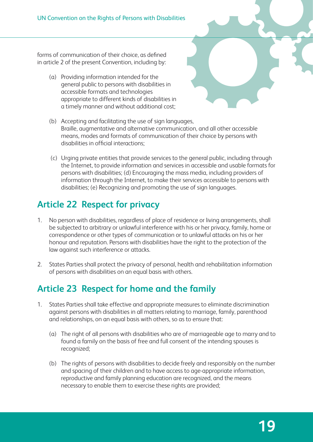forms of communication of their choice, as defined in article 2 of the present Convention, including by:

- (a) Providing information intended for the general public to persons with disabilities in accessible formats and technologies appropriate to different kinds of disabilities in a timely manner and without additional cost;
- (b) Accepting and facilitating the use of sign languages, Braille, augmentative and alternative communication, and all other accessible means, modes and formats of communication of their choice by persons with disabilities in official interactions;
- (c) Urging private entities that provide services to the general public, including through the Internet, to provide information and services in accessible and usable formats for persons with disabilities; (d) Encouraging the mass media, including providers of information through the Internet, to make their services accessible to persons with disabilities; (e) Recognizing and promoting the use of sign languages.

## **Article 22 Respect for privacy**

- 1. No person with disabilities, regardless of place of residence or living arrangements, shall be subjected to arbitrary or unlawful interference with his or her privacy, family, home or correspondence or other types of communication or to unlawful attacks on his or her honour and reputation. Persons with disabilities have the right to the protection of the law against such interference or attacks.
- 2. States Parties shall protect the privacy of personal, health and rehabilitation information of persons with disabilities on an equal basis with others.

## **Article 23 Respect for home and the family**

- 1. States Parties shall take effective and appropriate measures to eliminate discrimination against persons with disabilities in all matters relating to marriage, family, parenthood and relationships, on an equal basis with others, so as to ensure that:
	- (a) The right of all persons with disabilities who are of marriageable age to marry and to found a family on the basis of free and full consent of the intending spouses is recognized;
	- (b) The rights of persons with disabilities to decide freely and responsibly on the number and spacing of their children and to have access to age-appropriate information, reproductive and family planning education are recognized, and the means necessary to enable them to exercise these rights are provided;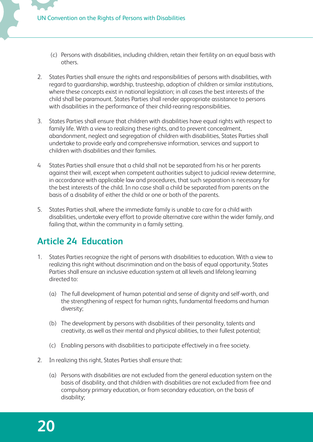UN Convention on the Rights of Persons with Disabilities

- (c) Persons with disabilities, including children, retain their fertility on an equal basis with others.
- 2. States Parties shall ensure the rights and responsibilities of persons with disabilities, with regard to guardianship, wardship, trusteeship, adoption of children or similar institutions, where these concepts exist in national legislation; in all cases the best interests of the child shall be paramount. States Parties shall render appropriate assistance to persons with disabilities in the performance of their child-rearing responsibilities.
- 3. States Parties shall ensure that children with disabilities have equal rights with respect to family life. With a view to realizing these rights, and to prevent concealment, abandonment, neglect and segregation of children with disabilities, States Parties shall undertake to provide early and comprehensive information, services and support to children with disabilities and their families.
- 4 States Parties shall ensure that a child shall not be separated from his or her parents against their will, except when competent authorities subject to judicial review determine, in accordance with applicable law and procedures, that such separation is necessary for the best interests of the child. In no case shall a child be separated from parents on the basis of a disability of either the child or one or both of the parents.
- 5. States Parties shall, where the immediate family is unable to care for a child with disabilities, undertake every effort to provide alternative care within the wider family, and failing that, within the community in a family setting.

#### **Article 24 Education**

- 1. States Parties recognize the right of persons with disabilities to education. With a view to realizing this right without discrimination and on the basis of equal opportunity, States Parties shall ensure an inclusive education system at all levels and lifelong learning directed to:
	- (a) The full development of human potential and sense of dignity and self-worth, and the strengthening of respect for human rights, fundamental freedoms and human diversity;
	- (b) The development by persons with disabilities of their personality, talents and creativity, as well as their mental and physical abilities, to their fullest potential;
	- (c) Enabling persons with disabilities to participate effectively in a free society.
- 2. In realizing this right, States Parties shall ensure that:
	- (a) Persons with disabilities are not excluded from the general education system on the basis of disability, and that children with disabilities are not excluded from free and compulsory primary education, or from secondary education, on the basis of disability;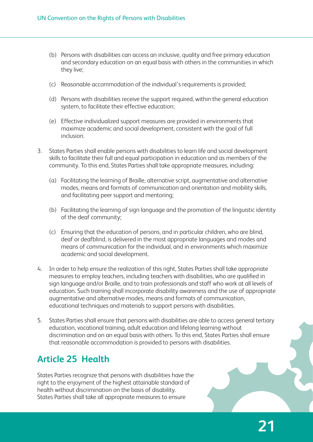- (b) Persons with disabilities can access an inclusive, quality and free primary education and secondary education on an equal basis with others in the communities in which they live;
- (c) Reasonable accommodation of the individual's requirements is provided;
- (d) Persons with disabilities receive the support required, within the general education system, to facilitate their effective education;
- (e) Effective individualized support measures are provided in environments that maximize academic and social development, consistent with the goal of full inclusion.
- 3. States Parties shall enable persons with disabilities to learn life and social development skills to facilitate their full and equal participation in education and as members of the community. To this end, States Parties shall take appropriate measures, including:
	- (a) Facilitating the learning of Braille, alternative script, augmentative and alternative modes, means and formats of communication and orientation and mobility skills, and facilitating peer support and mentoring;
	- (b) Facilitating the learning of sign language and the promotion of the linguistic identity of the deaf community;
	- (c) Ensuring that the education of persons, and in particular children, who are blind, deaf or deafblind, is delivered in the most appropriate languages and modes and means of communication for the individual, and in environments which maximize academic and social development.
- 4. In order to help ensure the realization of this right, States Parties shall take appropriate measures to employ teachers, including teachers with disabilities, who are qualified in sign language and/or Braille, and to train professionals and staff who work at all levels of education. Such training shall incorporate disability awareness and the use of appropriate augmentative and alternative modes, means and formats of communication, educational techniques and materials to support persons with disabilities.
- 5. States Parties shall ensure that persons with disabilities are able to access general tertiary education, vocational training, adult education and lifelong learning without discrimination and on an equal basis with others. To this end, States Parties shall ensure that reasonable accommodation is provided to persons with disabilities.

## **Article 25 Health**

States Parties recognize that persons with disabilities have the right to the enjoyment of the highest attainable standard of health without discrimination on the basis of disability. States Parties shall take all appropriate measures to ensure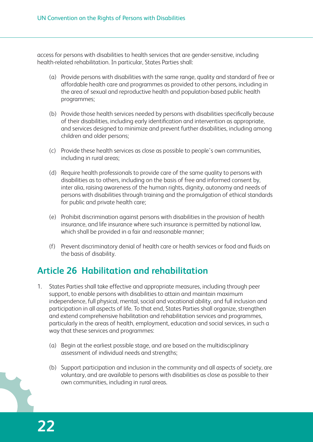access for persons with disabilities to health services that are gender-sensitive, including health-related rehabilitation. In particular, States Parties shall:

- (a) Provide persons with disabilities with the same range, quality and standard of free or affordable health care and programmes as provided to other persons, including in the area of sexual and reproductive health and population-based public health programmes;
- (b) Provide those health services needed by persons with disabilities specifically because of their disabilities, including early identification and intervention as appropriate, and services designed to minimize and prevent further disabilities, including among children and older persons;
- (c) Provide these health services as close as possible to people's own communities, including in rural areas;
- (d) Require health professionals to provide care of the same quality to persons with disabilities as to others, including on the basis of free and informed consent by, inter alia, raising awareness of the human rights, dignity, autonomy and needs of persons with disabilities through training and the promulgation of ethical standards for public and private health care;
- (e) Prohibit discrimination against persons with disabilities in the provision of health insurance, and life insurance where such insurance is permitted by national law, which shall be provided in a fair and reasonable manner;
- (f) Prevent discriminatory denial of health care or health services or food and fluids on the basis of disability.

### **Article 26 Habilitation and rehabilitation**

- 1. States Parties shall take effective and appropriate measures, including through peer support, to enable persons with disabilities to attain and maintain maximum independence, full physical, mental, social and vocational ability, and full inclusion and participation in all aspects of life. To that end, States Parties shall organize, strengthen and extend comprehensive habilitation and rehabilitation services and programmes, particularly in the areas of health, employment, education and social services, in such a way that these services and programmes:
	- (a) Begin at the earliest possible stage, and are based on the multidisciplinary assessment of individual needs and strengths;
	- (b) Support participation and inclusion in the community and all aspects of society, are voluntary, and are available to persons with disabilities as close as possible to their own communities, including in rural areas.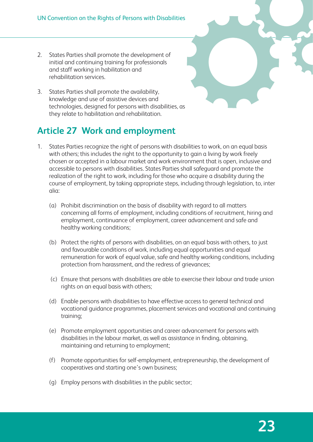- 2. States Parties shall promote the development of initial and continuing training for professionals and staff working in habilitation and rehabilitation services.
- 3. States Parties shall promote the availability, knowledge and use of assistive devices and technologies, designed for persons with disabilities, as they relate to habilitation and rehabilitation.

## **Article 27 Work and employment**

- 1. States Parties recognize the right of persons with disabilities to work, on an equal basis with others; this includes the right to the opportunity to gain a living by work freely chosen or accepted in a labour market and work environment that is open, inclusive and accessible to persons with disabilities. States Parties shall safeguard and promote the realization of the right to work, including for those who acquire a disability during the course of employment, by taking appropriate steps, including through legislation, to, inter alia:
	- (a) Prohibit discrimination on the basis of disability with regard to all matters concerning all forms of employment, including conditions of recruitment, hiring and employment, continuance of employment, career advancement and safe and healthy working conditions;
	- (b) Protect the rights of persons with disabilities, on an equal basis with others, to just and favourable conditions of work, including equal opportunities and equal remuneration for work of equal value, safe and healthy working conditions, including protection from harassment, and the redress of grievances;
	- (c) Ensure that persons with disabilities are able to exercise their labour and trade union rights on an equal basis with others;
	- (d) Enable persons with disabilities to have effective access to general technical and vocational guidance programmes, placement services and vocational and continuing training;
	- (e) Promote employment opportunities and career advancement for persons with disabilities in the labour market, as well as assistance in finding, obtaining, maintaining and returning to employment;
	- (f) Promote opportunities for self-employment, entrepreneurship, the development of cooperatives and starting one's own business;
	- (g) Employ persons with disabilities in the public sector;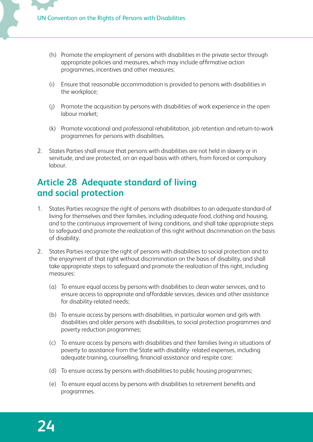

- (h) Promote the employment of persons with disabilities in the private sector through appropriate policies and measures, which may include affirmative action programmes, incentives and other measures;
- (i) Ensure that reasonable accommodation is provided to persons with disabilities in the workplace;
- (j) Promote the acquisition by persons with disabilities of work experience in the open labour market;
- (k) Promote vocational and professional rehabilitation, job retention and return-to-work programmes for persons with disabilities.
- 2. States Parties shall ensure that persons with disabilities are not held in slavery or in servitude, and are protected, on an equal basis with others, from forced or compulsory labour.

## **Article 28 Adequate standard of living and social protection**

- 1. States Parties recognize the right of persons with disabilities to an adequate standard of living for themselves and their families, including adequate food, clothing and housing, and to the continuous improvement of living conditions, and shall take appropriate steps to safeguard and promote the realization of this right without discrimination on the basis of disability.
- 2. States Parties recognize the right of persons with disabilities to social protection and to the enjoyment of that right without discrimination on the basis of disability, and shall take appropriate steps to safeguard and promote the realization of this right, including measures:
	- (a) To ensure equal access by persons with disabilities to clean water services, and to ensure access to appropriate and affordable services, devices and other assistance for disability-related needs;
	- (b) To ensure access by persons with disabilities, in particular women and girls with disabilities and older persons with disabilities, to social protection programmes and poverty reduction programmes;
	- (c) To ensure access by persons with disabilities and their families living in situations of poverty to assistance from the State with disability- related expenses, including adequate training, counselling, financial assistance and respite care;
	- (d) To ensure access by persons with disabilities to public housing programmes;
	- (e) To ensure equal access by persons with disabilities to retirement benefits and programmes.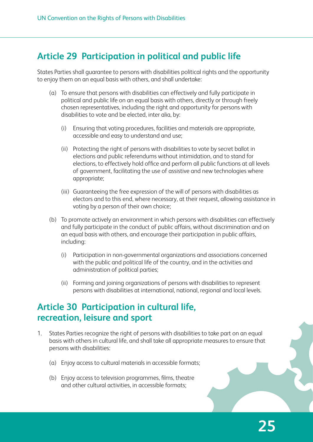#### **Article 29 Participation in political and public life**

States Parties shall guarantee to persons with disabilities political rights and the opportunity to enjoy them on an equal basis with others, and shall undertake:

- (a) To ensure that persons with disabilities can effectively and fully participate in political and public life on an equal basis with others, directly or through freely chosen representatives, including the right and opportunity for persons with disabilities to vote and be elected, inter alia, by:
	- (i) Ensuring that voting procedures, facilities and materials are appropriate, accessible and easy to understand and use;
	- (ii) Protecting the right of persons with disabilities to vote by secret ballot in elections and public referendums without intimidation, and to stand for elections, to effectively hold office and perform all public functions at all levels of government, facilitating the use of assistive and new technologies where appropriate;
	- (iii) Guaranteeing the free expression of the will of persons with disabilities as electors and to this end, where necessary, at their request, allowing assistance in voting by a person of their own choice;
- (b) To promote actively an environment in which persons with disabilities can effectively and fully participate in the conduct of public affairs, without discrimination and on an equal basis with others, and encourage their participation in public affairs, including:
	- (i) Participation in non-governmental organizations and associations concerned with the public and political life of the country, and in the activities and administration of political parties;
	- (ii) Forming and joining organizations of persons with disabilities to represent persons with disabilities at international, national, regional and local levels.

#### **Article 30 Participation in cultural life, recreation, leisure and sport**

1. States Parties recognize the right of persons with disabilities to take part on an equal basis with others in cultural life, and shall take all appropriate measures to ensure that persons with disabilities:

**25**

- (a) Enjoy access to cultural materials in accessible formats;
- (b) Enjoy access to television programmes, films, theatre and other cultural activities, in accessible formats;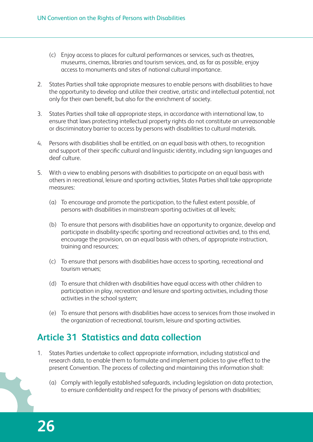- (c) Enjoy access to places for cultural performances or services, such as theatres, museums, cinemas, libraries and tourism services, and, as far as possible, enjoy access to monuments and sites of national cultural importance.
- 2. States Parties shall take appropriate measures to enable persons with disabilities to have the opportunity to develop and utilize their creative, artistic and intellectual potential, not only for their own benefit, but also for the enrichment of society.
- 3. States Parties shall take all appropriate steps, in accordance with international law, to ensure that laws protecting intellectual property rights do not constitute an unreasonable or discriminatory barrier to access by persons with disabilities to cultural materials.
- 4. Persons with disabilities shall be entitled, on an equal basis with others, to recognition and support of their specific cultural and linguistic identity, including sign languages and deaf culture.
- 5. With a view to enabling persons with disabilities to participate on an equal basis with others in recreational, leisure and sporting activities, States Parties shall take appropriate measures:
	- (a) To encourage and promote the participation, to the fullest extent possible, of persons with disabilities in mainstream sporting activities at all levels;
	- (b) To ensure that persons with disabilities have an opportunity to organize, develop and participate in disability-specific sporting and recreational activities and, to this end, encourage the provision, on an equal basis with others, of appropriate instruction, training and resources;
	- (c) To ensure that persons with disabilities have access to sporting, recreational and tourism venues;
	- (d) To ensure that children with disabilities have equal access with other children to participation in play, recreation and leisure and sporting activities, including those activities in the school system;
	- (e) To ensure that persons with disabilities have access to services from those involved in the organization of recreational, tourism, leisure and sporting activities.

#### **Article 31 Statistics and data collection**

- 1. States Parties undertake to collect appropriate information, including statistical and research data, to enable them to formulate and implement policies to give effect to the present Convention. The process of collecting and maintaining this information shall:
	- (a) Comply with legally established safeguards, including legislation on data protection, to ensure confidentiality and respect for the privacy of persons with disabilities;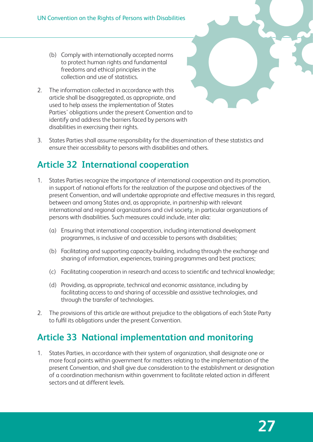- (b) Comply with internationally accepted norms to protect human rights and fundamental freedoms and ethical principles in the collection and use of statistics.
- 2. The information collected in accordance with this article shall be disaggregated, as appropriate, and used to help assess the implementation of States Parties' obligations under the present Convention and to identify and address the barriers faced by persons with disabilities in exercising their rights.
- 3. States Parties shall assume responsibility for the dissemination of these statistics and ensure their accessibility to persons with disabilities and others.

### **Article 32 International cooperation**

- 1. States Parties recognize the importance of international cooperation and its promotion, in support of national efforts for the realization of the purpose and objectives of the present Convention, and will undertake appropriate and effective measures in this regard, between and among States and, as appropriate, in partnership with relevant international and regional organizations and civil society, in particular organizations of persons with disabilities. Such measures could include, inter alia:
	- (a) Ensuring that international cooperation, including international development programmes, is inclusive of and accessible to persons with disabilities;
	- (b) Facilitating and supporting capacity-building, including through the exchange and sharing of information, experiences, training programmes and best practices;
	- (c) Facilitating cooperation in research and access to scientific and technical knowledge;
	- (d) Providing, as appropriate, technical and economic assistance, including by facilitating access to and sharing of accessible and assistive technologies, and through the transfer of technologies.
- 2. The provisions of this article are without prejudice to the obligations of each State Party to fulfil its obligations under the present Convention.

## **Article 33 National implementation and monitoring**

1. States Parties, in accordance with their system of organization, shall designate one or more focal points within government for matters relating to the implementation of the present Convention, and shall give due consideration to the establishment or designation of a coordination mechanism within government to facilitate related action in different sectors and at different levels.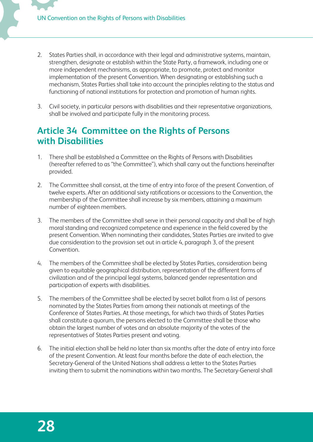- 2. States Parties shall, in accordance with their legal and administrative systems, maintain, strengthen, designate or establish within the State Party, a framework, including one or more independent mechanisms, as appropriate, to promote, protect and monitor implementation of the present Convention. When designating or establishing such a mechanism, States Parties shall take into account the principles relating to the status and functioning of national institutions for protection and promotion of human rights.
- 3. Civil society, in particular persons with disabilities and their representative organizations, shall be involved and participate fully in the monitoring process.

## **Article 34 Committee on the Rights of Persons with Disabilities**

- 1. There shall be established a Committee on the Rights of Persons with Disabilities (hereafter referred to as "the Committee"), which shall carry out the functions hereinafter provided.
- 2. The Committee shall consist, at the time of entry into force of the present Convention, of twelve experts. After an additional sixty ratifications or accessions to the Convention, the membership of the Committee shall increase by six members, attaining a maximum number of eighteen members.
- 3. The members of the Committee shall serve in their personal capacity and shall be of high moral standing and recognized competence and experience in the field covered by the present Convention. When nominating their candidates, States Parties are invited to give due consideration to the provision set out in article 4, paragraph 3, of the present Convention.
- 4. The members of the Committee shall be elected by States Parties, consideration being given to equitable geographical distribution, representation of the different forms of civilization and of the principal legal systems, balanced gender representation and participation of experts with disabilities.
- 5. The members of the Committee shall be elected by secret ballot from a list of persons nominated by the States Parties from among their nationals at meetings of the Conference of States Parties. At those meetings, for which two thirds of States Parties shall constitute a quorum, the persons elected to the Committee shall be those who obtain the largest number of votes and an absolute majority of the votes of the representatives of States Parties present and voting.
- 6. The initial election shall be held no later than six months after the date of entry into force of the present Convention. At least four months before the date of each election, the Secretary-General of the United Nations shall address a letter to the States Parties inviting them to submit the nominations within two months. The Secretary-General shall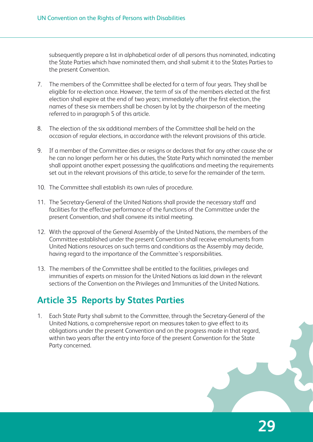subsequently prepare a list in alphabetical order of all persons thus nominated, indicating the State Parties which have nominated them, and shall submit it to the States Parties to the present Convention.

- 7. The members of the Committee shall be elected for a term of four years. They shall be eligible for re-election once. However, the term of six of the members elected at the first election shall expire at the end of two years; immediately after the first election, the names of these six members shall be chosen by lot by the chairperson of the meeting referred to in paragraph 5 of this article.
- 8. The election of the six additional members of the Committee shall be held on the occasion of regular elections, in accordance with the relevant provisions of this article.
- 9. If a member of the Committee dies or resigns or declares that for any other cause she or he can no longer perform her or his duties, the State Party which nominated the member shall appoint another expert possessing the qualifications and meeting the requirements set out in the relevant provisions of this article, to serve for the remainder of the term.
- 10. The Committee shall establish its own rules of procedure.
- 11. The Secretary-General of the United Nations shall provide the necessary staff and facilities for the effective performance of the functions of the Committee under the present Convention, and shall convene its initial meeting.
- 12. With the approval of the General Assembly of the United Nations, the members of the Committee established under the present Convention shall receive emoluments from United Nations resources on such terms and conditions as the Assembly may decide, having regard to the importance of the Committee's responsibilities.
- 13. The members of the Committee shall be entitled to the facilities, privileges and immunities of experts on mission for the United Nations as laid down in the relevant sections of the Convention on the Privileges and Immunities of the United Nations.

## **Article 35 Reports by States Parties**

1. Each State Party shall submit to the Committee, through the Secretary-General of the United Nations, a comprehensive report on measures taken to give effect to its obligations under the present Convention and on the progress made in that regard, within two years after the entry into force of the present Convention for the State Party concerned.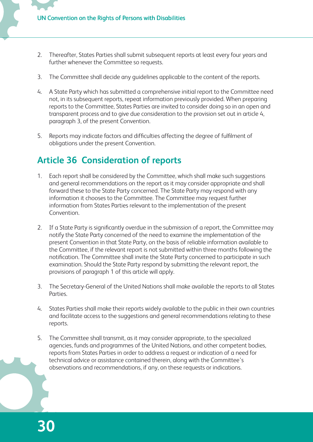- 2. Thereafter, States Parties shall submit subsequent reports at least every four years and further whenever the Committee so requests.
- 3. The Committee shall decide any guidelines applicable to the content of the reports.
- 4. A State Party which has submitted a comprehensive initial report to the Committee need not, in its subsequent reports, repeat information previously provided. When preparing reports to the Committee, States Parties are invited to consider doing so in an open and transparent process and to give due consideration to the provision set out in article 4, paragraph 3, of the present Convention.
- 5. Reports may indicate factors and difficulties affecting the degree of fulfilment of obligations under the present Convention.

## **Article 36 Consideration of reports**

- 1. Each report shall be considered by the Committee, which shall make such suggestions and general recommendations on the report as it may consider appropriate and shall forward these to the State Party concerned. The State Party may respond with any information it chooses to the Committee. The Committee may request further information from States Parties relevant to the implementation of the present Convention.
- 2. If a State Party is significantly overdue in the submission of a report, the Committee may notify the State Party concerned of the need to examine the implementation of the present Convention in that State Party, on the basis of reliable information available to the Committee, if the relevant report is not submitted within three months following the notification. The Committee shall invite the State Party concerned to participate in such examination. Should the State Party respond by submitting the relevant report, the provisions of paragraph 1 of this article will apply.
- 3. The Secretary-General of the United Nations shall make available the reports to all States Parties.
- 4. States Parties shall make their reports widely available to the public in their own countries and facilitate access to the suggestions and general recommendations relating to these reports.
- 5. The Committee shall transmit, as it may consider appropriate, to the specialized agencies, funds and programmes of the United Nations, and other competent bodies, reports from States Parties in order to address a request or indication of a need for technical advice or assistance contained therein, along with the Committee's observations and recommendations, if any, on these requests or indications.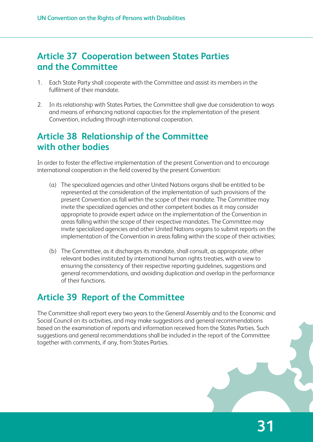#### **Article 37 Cooperation between States Parties and the Committee**

- 1. Each State Party shall cooperate with the Committee and assist its members in the fulfilment of their mandate.
- 2. In its relationship with States Parties, the Committee shall give due consideration to ways and means of enhancing national capacities for the implementation of the present Convention, including through international cooperation.

#### **Article 38 Relationship of the Committee with other bodies**

In order to foster the effective implementation of the present Convention and to encourage international cooperation in the field covered by the present Convention:

- (a) The specialized agencies and other United Nations organs shall be entitled to be represented at the consideration of the implementation of such provisions of the present Convention as fall within the scope of their mandate. The Committee may invite the specialized agencies and other competent bodies as it may consider appropriate to provide expert advice on the implementation of the Convention in areas falling within the scope of their respective mandates. The Committee may invite specialized agencies and other United Nations organs to submit reports on the implementation of the Convention in areas falling within the scope of their activities;
- (b) The Committee, as it discharges its mandate, shall consult, as appropriate, other relevant bodies instituted by international human rights treaties, with a view to ensuring the consistency of their respective reporting guidelines, suggestions and general recommendations, and avoiding duplication and overlap in the performance of their functions.

## **Article 39 Report of the Committee**

The Committee shall report every two years to the General Assembly and to the Economic and Social Council on its activities, and may make suggestions and general recommendations based on the examination of reports and information received from the States Parties. Such suggestions and general recommendations shall be included in the report of the Committee together with comments, if any, from States Parties.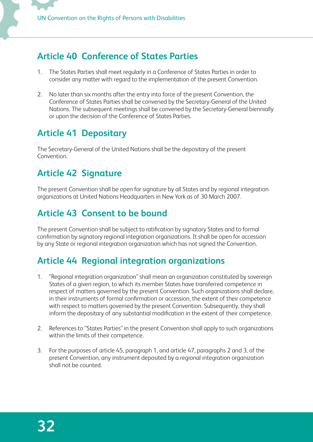

## **Article 40 Conference of States Parties**

- 1. The States Parties shall meet regularly in a Conference of States Parties in order to consider any matter with regard to the implementation of the present Convention.
- 2. No later than six months after the entry into force of the present Convention, the Conference of States Parties shall be convened by the Secretary-General of the United Nations. The subsequent meetings shall be convened by the Secretary-General biennially or upon the decision of the Conference of States Parties.

## **Article 41 Depositary**

The Secretary-General of the United Nations shall be the depositary of the present Convention.

## **Article 42 Signature**

The present Convention shall be open for signature by all States and by regional integration organizations at United Nations Headquarters in New York as of 30 March 2007.

## **Article 43 Consent to be bound**

The present Convention shall be subject to ratification by signatory States and to formal confirmation by signatory regional integration organizations. It shall be open for accession by any State or regional integration organization which has not signed the Convention.

## **Article 44 Regional integration organizations**

- 1. "Regional integration organization" shall mean an organization constituted by sovereign States of a given region, to which its member States have transferred competence in respect of matters governed by the present Convention. Such organizations shall declare, in their instruments of formal confirmation or accession, the extent of their competence with respect to matters governed by the present Convention. Subsequently, they shall inform the depositary of any substantial modification in the extent of their competence.
- 2. References to "States Parties" in the present Convention shall apply to such organizations within the limits of their competence.
- 3. For the purposes of article 45, paragraph 1, and article 47, paragraphs 2 and 3, of the present Convention, any instrument deposited by a regional integration organization shall not be counted.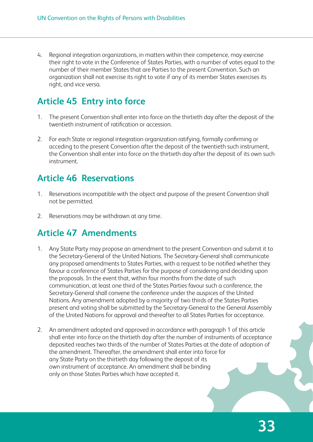4. Regional integration organizations, in matters within their competence, may exercise their right to vote in the Conference of States Parties, with a number of votes equal to the number of their member States that are Parties to the present Convention. Such an organization shall not exercise its right to vote if any of its member States exercises its right, and vice versa.

## **Article 45 Entry into force**

- 1. The present Convention shall enter into force on the thirtieth day after the deposit of the twentieth instrument of ratification or accession.
- 2. For each State or regional integration organization ratifying, formally confirming or acceding to the present Convention after the deposit of the twentieth such instrument, the Convention shall enter into force on the thirtieth day after the deposit of its own such instrument.

### **Article 46 Reservations**

- 1. Reservations incompatible with the object and purpose of the present Convention shall not be permitted.
- 2. Reservations may be withdrawn at any time.

## **Article 47 Amendments**

- 1. Any State Party may propose an amendment to the present Convention and submit it to the Secretary-General of the United Nations. The Secretary-General shall communicate any proposed amendments to States Parties, with a request to be notified whether they favour a conference of States Parties for the purpose of considering and deciding upon the proposals. In the event that, within four months from the date of such communication, at least one third of the States Parties favour such a conference, the Secretary-General shall convene the conference under the auspices of the United Nations. Any amendment adopted by a majority of two thirds of the States Parties present and voting shall be submitted by the Secretary-General to the General Assembly of the United Nations for approval and thereafter to all States Parties for acceptance.
- 2. An amendment adopted and approved in accordance with paragraph 1 of this article shall enter into force on the thirtieth day after the number of instruments of acceptance deposited reaches two thirds of the number of States Parties at the date of adoption of the amendment. Thereafter, the amendment shall enter into force for any State Party on the thirtieth day following the deposit of its own instrument of acceptance. An amendment shall be binding only on those States Parties which have accepted it.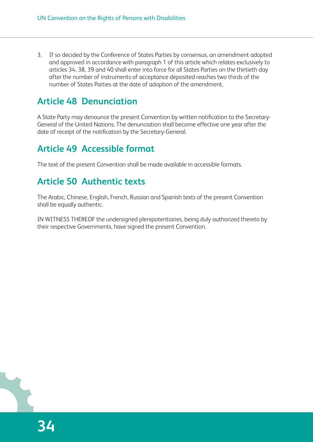3. If so decided by the Conference of States Parties by consensus, an amendment adopted and approved in accordance with paragraph 1 of this article which relates exclusively to articles 34, 38, 39 and 40 shall enter into force for all States Parties on the thirtieth day after the number of instruments of acceptance deposited reaches two thirds of the number of States Parties at the date of adoption of the amendment.

#### **Article 48 Denunciation**

A State Party may denounce the present Convention by written notification to the Secretary-General of the United Nations. The denunciation shall become effective one year after the date of receipt of the notification by the Secretary-General.

## **Article 49 Accessible format**

The text of the present Convention shall be made available in accessible formats.

## **Article 50 Authentic texts**

The Arabic, Chinese, English, French, Russian and Spanish texts of the present Convention shall be equally authentic.

IN WITNESS THEREOF the undersigned plenipotentiaries, being duly authorized thereto by their respective Governments, have signed the present Convention.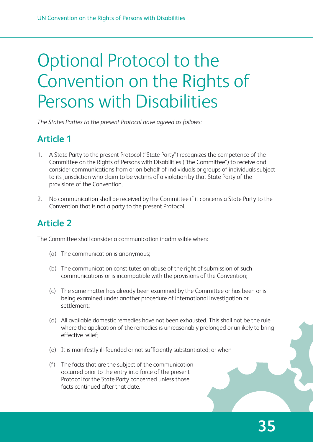# Optional Protocol to the Convention on the Rights of Persons with Disabilities

*The States Parties to the present Protocol have agreed as follows:* 

## **Article 1**

- 1. A State Party to the present Protocol ("State Party") recognizes the competence of the Committee on the Rights of Persons with Disabilities ("the Committee") to receive and consider communications from or on behalf of individuals or groups of individuals subject to its jurisdiction who claim to be victims of a violation by that State Party of the provisions of the Convention.
- 2. No communication shall be received by the Committee if it concerns a State Party to the Convention that is not a party to the present Protocol.

## **Article 2**

The Committee shall consider a communication inadmissible when:

- (a) The communication is anonymous;
- (b) The communication constitutes an abuse of the right of submission of such communications or is incompatible with the provisions of the Convention;
- (c) The same matter has already been examined by the Committee or has been or is being examined under another procedure of international investigation or settlement;
- (d) All available domestic remedies have not been exhausted. This shall not be the rule where the application of the remedies is unreasonably prolonged or unlikely to bring effective relief;
- (e) It is manifestly ill-founded or not sufficiently substantiated; or when
- (f) The facts that are the subject of the communication occurred prior to the entry into force of the present Protocol for the State Party concerned unless those facts continued after that date.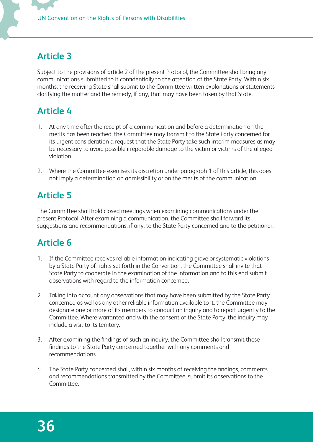

## **Article 3**

Subject to the provisions of article 2 of the present Protocol, the Committee shall bring any communications submitted to it confidentially to the attention of the State Party. Within six months, the receiving State shall submit to the Committee written explanations or statements clarifying the matter and the remedy, if any, that may have been taken by that State.

## **Article 4**

- 1. At any time after the receipt of a communication and before a determination on the merits has been reached, the Committee may transmit to the State Party concerned for its urgent consideration a request that the State Party take such interim measures as may be necessary to avoid possible irreparable damage to the victim or victims of the alleged violation.
- 2. Where the Committee exercises its discretion under paragraph 1 of this article, this does not imply a determination on admissibility or on the merits of the communication.

## **Article 5**

The Committee shall hold closed meetings when examining communications under the present Protocol. After examining a communication, the Committee shall forward its suggestions and recommendations, if any, to the State Party concerned and to the petitioner.

## **Article 6**

- 1. If the Committee receives reliable information indicating grave or systematic violations by a State Party of rights set forth in the Convention, the Committee shall invite that State Party to cooperate in the examination of the information and to this end submit observations with regard to the information concerned.
- 2. Taking into account any observations that may have been submitted by the State Party concerned as well as any other reliable information available to it, the Committee may designate one or more of its members to conduct an inquiry and to report urgently to the Committee. Where warranted and with the consent of the State Party, the inquiry may include a visit to its territory.
- 3. After examining the findings of such an inquiry, the Committee shall transmit these findings to the State Party concerned together with any comments and recommendations.
- 4. The State Party concerned shall, within six months of receiving the findings, comments and recommendations transmitted by the Committee, submit its observations to the Committee.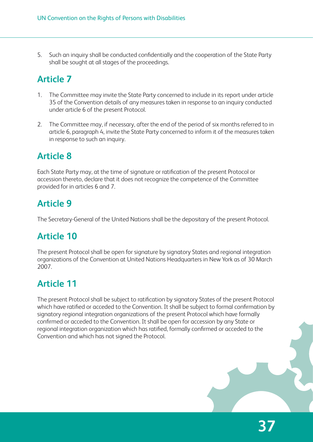5. Such an inquiry shall be conducted confidentially and the cooperation of the State Party shall be sought at all stages of the proceedings.

## **Article 7**

- 1. The Committee may invite the State Party concerned to include in its report under article 35 of the Convention details of any measures taken in response to an inquiry conducted under article 6 of the present Protocol.
- 2. The Committee may, if necessary, after the end of the period of six months referred to in article 6, paragraph 4, invite the State Party concerned to inform it of the measures taken in response to such an inquiry.

## **Article 8**

Each State Party may, at the time of signature or ratification of the present Protocol or accession thereto, declare that it does not recognize the competence of the Committee provided for in articles 6 and 7.

## **Article 9**

The Secretary-General of the United Nations shall be the depositary of the present Protocol.

## **Article 10**

The present Protocol shall be open for signature by signatory States and regional integration organizations of the Convention at United Nations Headquarters in New York as of 30 March 2007.

## **Article 11**

The present Protocol shall be subject to ratification by signatory States of the present Protocol which have ratified or acceded to the Convention. It shall be subject to formal confirmation by signatory regional integration organizations of the present Protocol which have formally confirmed or acceded to the Convention. It shall be open for accession by any State or regional integration organization which has ratified, formally confirmed or acceded to the Convention and which has not signed the Protocol.

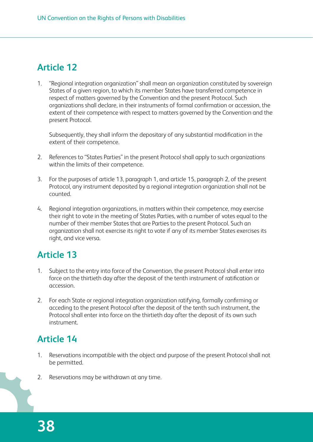## **Article 12**

1. "Regional integration organization" shall mean an organization constituted by sovereign States of a given region, to which its member States have transferred competence in respect of matters governed by the Convention and the present Protocol. Such organizations shall declare, in their instruments of formal confirmation or accession, the extent of their competence with respect to matters governed by the Convention and the present Protocol.

Subsequently, they shall inform the depositary of any substantial modification in the extent of their competence.

- 2. References to "States Parties" in the present Protocol shall apply to such organizations within the limits of their competence.
- 3. For the purposes of article 13, paragraph 1, and article 15, paragraph 2, of the present Protocol, any instrument deposited by a regional integration organization shall not be counted.
- 4. Regional integration organizations, in matters within their competence, may exercise their right to vote in the meeting of States Parties, with a number of votes equal to the number of their member States that are Parties to the present Protocol. Such an organization shall not exercise its right to vote if any of its member States exercises its right, and vice versa.

## **Article 13**

- 1. Subject to the entry into force of the Convention, the present Protocol shall enter into force on the thirtieth day after the deposit of the tenth instrument of ratification or accession.
- 2. For each State or regional integration organization ratifying, formally confirming or acceding to the present Protocol after the deposit of the tenth such instrument, the Protocol shall enter into force on the thirtieth day after the deposit of its own such instrument.

## **Article 14**

- 1. Reservations incompatible with the object and purpose of the present Protocol shall not be permitted.
- 2. Reservations may be withdrawn at any time.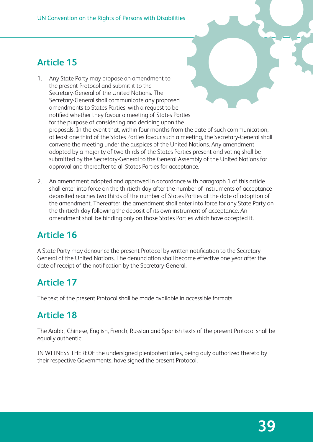## **Article 15**

- 1. Any State Party may propose an amendment to the present Protocol and submit it to the Secretary-General of the United Nations. The Secretary-General shall communicate any proposed amendments to States Parties, with a request to be notified whether they favour a meeting of States Parties for the purpose of considering and deciding upon the proposals. In the event that, within four months from the date of such communication, at least one third of the States Parties favour such a meeting, the Secretary-General shall convene the meeting under the auspices of the United Nations. Any amendment adopted by a majority of two thirds of the States Parties present and voting shall be submitted by the Secretary-General to the General Assembly of the United Nations for approval and thereafter to all States Parties for acceptance.
- 2. An amendment adopted and approved in accordance with paragraph 1 of this article shall enter into force on the thirtieth day after the number of instruments of acceptance deposited reaches two thirds of the number of States Parties at the date of adoption of the amendment. Thereafter, the amendment shall enter into force for any State Party on the thirtieth day following the deposit of its own instrument of acceptance. An amendment shall be binding only on those States Parties which have accepted it.

## **Article 16**

A State Party may denounce the present Protocol by written notification to the Secretary-General of the United Nations. The denunciation shall become effective one year after the date of receipt of the notification by the Secretary-General.

## **Article 17**

The text of the present Protocol shall be made available in accessible formats.

## **Article 18**

The Arabic, Chinese, English, French, Russian and Spanish texts of the present Protocol shall be equally authentic.

IN WITNESS THEREOF the undersigned plenipotentiaries, being duly authorized thereto by their respective Governments, have signed the present Protocol.